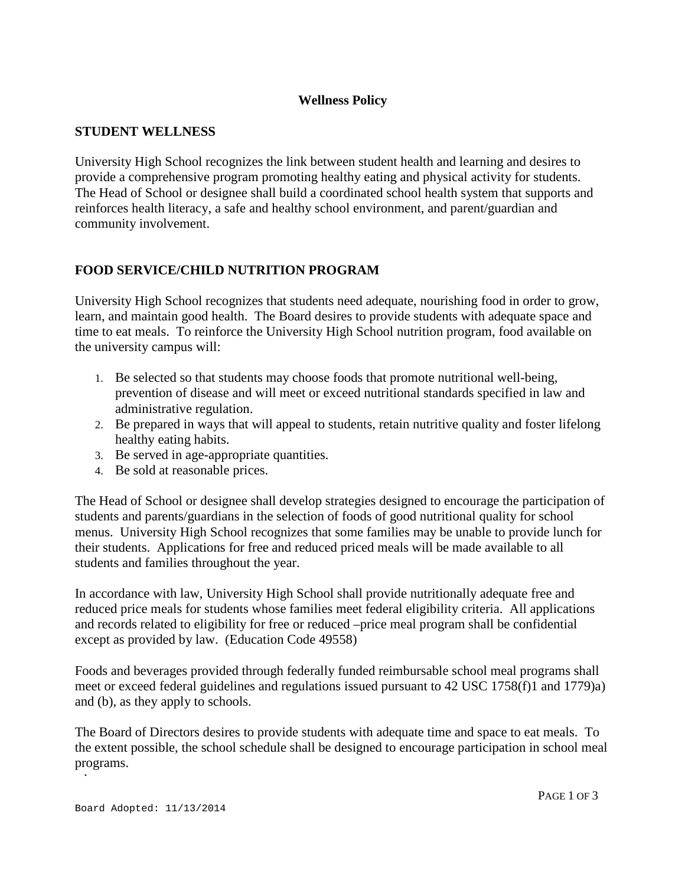## **Wellness Policy**

#### **STUDENT WELLNESS**

University High School recognizes the link between student health and learning and desires to provide a comprehensive program promoting healthy eating and physical activity for students. The Head of School or designee shall build a coordinated school health system that supports and reinforces health literacy, a safe and healthy school environment, and parent/guardian and community involvement.

# **FOOD SERVICE/CHILD NUTRITION PROGRAM**

University High School recognizes that students need adequate, nourishing food in order to grow, learn, and maintain good health. The Board desires to provide students with adequate space and time to eat meals. To reinforce the University High School nutrition program, food available on the university campus will:

- 1. Be selected so that students may choose foods that promote nutritional well-being, prevention of disease and will meet or exceed nutritional standards specified in law and administrative regulation.
- 2. Be prepared in ways that will appeal to students, retain nutritive quality and foster lifelong healthy eating habits.
- 3. Be served in age-appropriate quantities.
- 4. Be sold at reasonable prices.

The Head of School or designee shall develop strategies designed to encourage the participation of students and parents/guardians in the selection of foods of good nutritional quality for school menus. University High School recognizes that some families may be unable to provide lunch for their students. Applications for free and reduced priced meals will be made available to all students and families throughout the year.

In accordance with law, University High School shall provide nutritionally adequate free and reduced price meals for students whose families meet federal eligibility criteria. All applications and records related to eligibility for free or reduced –price meal program shall be confidential except as provided by law. (Education Code 49558)

Foods and beverages provided through federally funded reimbursable school meal programs shall meet or exceed federal guidelines and regulations issued pursuant to 42 USC 1758(f)1 and 1779)a) and (b), as they apply to schools.

The Board of Directors desires to provide students with adequate time and space to eat meals. To the extent possible, the school schedule shall be designed to encourage participation in school meal programs.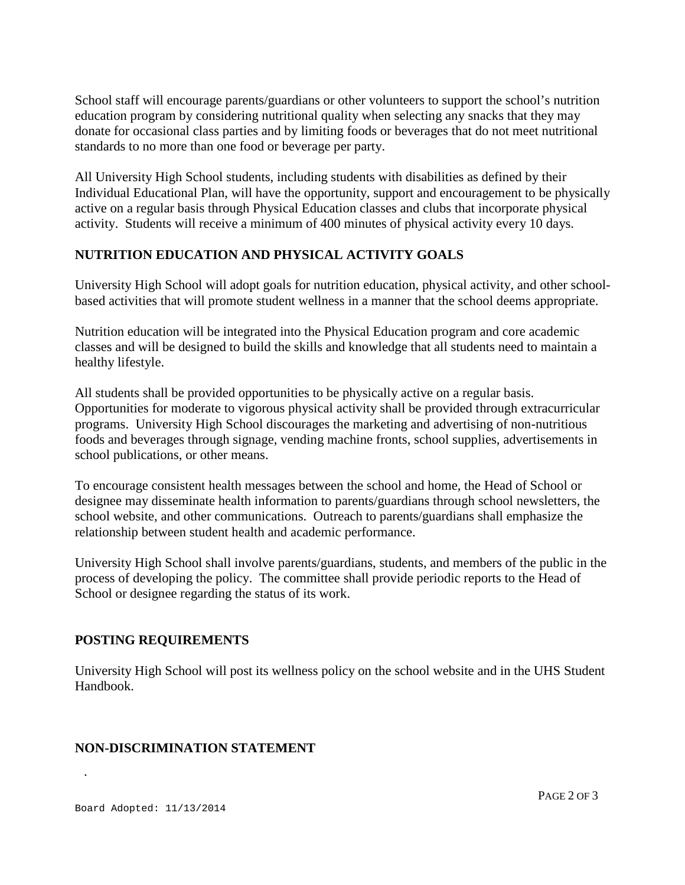School staff will encourage parents/guardians or other volunteers to support the school's nutrition education program by considering nutritional quality when selecting any snacks that they may donate for occasional class parties and by limiting foods or beverages that do not meet nutritional standards to no more than one food or beverage per party.

All University High School students, including students with disabilities as defined by their Individual Educational Plan, will have the opportunity, support and encouragement to be physically active on a regular basis through Physical Education classes and clubs that incorporate physical activity. Students will receive a minimum of 400 minutes of physical activity every 10 days.

# **NUTRITION EDUCATION AND PHYSICAL ACTIVITY GOALS**

University High School will adopt goals for nutrition education, physical activity, and other schoolbased activities that will promote student wellness in a manner that the school deems appropriate.

Nutrition education will be integrated into the Physical Education program and core academic classes and will be designed to build the skills and knowledge that all students need to maintain a healthy lifestyle.

All students shall be provided opportunities to be physically active on a regular basis. Opportunities for moderate to vigorous physical activity shall be provided through extracurricular programs. University High School discourages the marketing and advertising of non-nutritious foods and beverages through signage, vending machine fronts, school supplies, advertisements in school publications, or other means.

To encourage consistent health messages between the school and home, the Head of School or designee may disseminate health information to parents/guardians through school newsletters, the school website, and other communications. Outreach to parents/guardians shall emphasize the relationship between student health and academic performance.

University High School shall involve parents/guardians, students, and members of the public in the process of developing the policy. The committee shall provide periodic reports to the Head of School or designee regarding the status of its work.

## **POSTING REQUIREMENTS**

University High School will post its wellness policy on the school website and in the UHS Student Handbook.

## **NON-DISCRIMINATION STATEMENT**